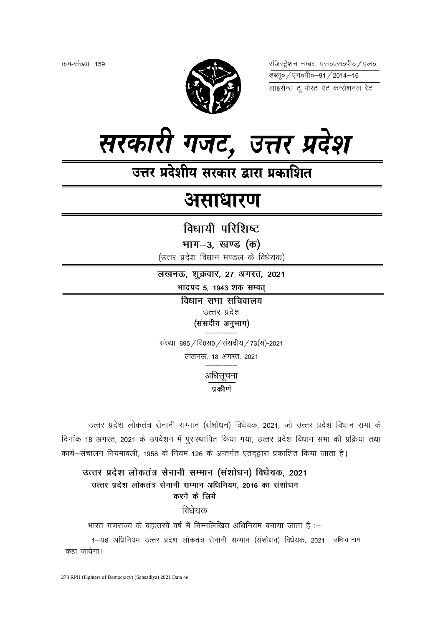क्रम-संख्या–159



रजिस्ट्रेशन नम्बर-एस०एस०पी० / एल० 



उत्तर प्रदेशीय सरकार द्वारा प्रकाशित

# असाधारण

विधायी परिशिष्ट

भाग-3, खण्ड (क)

(उत्तर प्रदेश विधान मण्डल के विधेयक)

लखनऊ, शुक्रवार, 27 अगस्त, 2021

भाद्रपद 5, 1943 शक सम्वत्

विधान सभा सचिवालय उत्तर प्रदेश (संसदीय अनुभाग)

संख्या 695 / वि0स0 / संसदीय / 73 (स)-2021 लखनऊ, 18 अगस्त, 2021

अधिसूचना

 $\overline{\mathtt{u}}$ कीर्ण

उत्तर प्रदेश लोकतंत्र सेनानी सम्मान (संशोधन) विधेयक, 2021, जो उत्तर प्रदेश विधान सभा के दिनांक 18 अगस्त, 2021 के उपवेशन में पुरःस्थापित किया गया, उत्तर प्रदेश विधान सभा की प्रक्रिया तथा कार्य-संचालन नियमावली, 1958 के नियम 126 के अन्तर्गत एतद्द्वारा प्रकाशित किया जाता है।

उत्तर प्रदेश लोकतंत्र सेनानी सम्मान (संशोधन) विधेयक, 2021 उत्तर प्रदेश लोकतंत्र सेनानी सम्मान अधिनियम. 2016 का संशोधन करने के लिये

विधेयक

भारत गणराज्य के बहत्तरवें वर्ष में निम्नलिखित अधिनियम बनाया जाता है :–

1-यह अधिनियम उत्तर प्रदेश लोकतंत्र सेनानी सम्मान (संशोधन) विधेयक, 2021 संक्षिप्त नाम कहा जायेगा।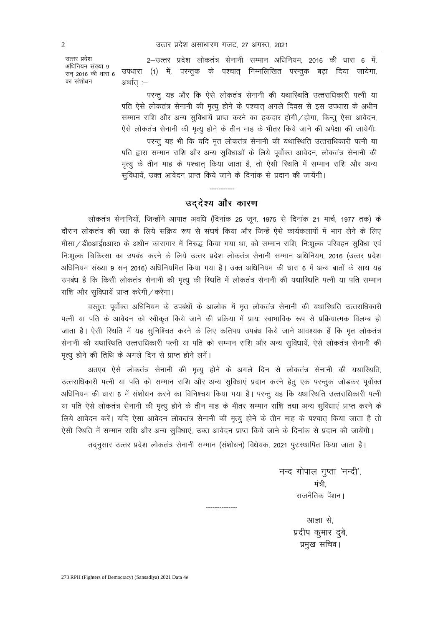उत्तर प्रदेश अधिनियम संख्या ९ सन् 2016 की धारा 6 का संशोधन

2-उत्तर प्रदेश लोकतंत्र सेनानी सम्मान अधिनियम, 2016 की धारा 6 में, उपधारा (1) में, परन्तुक के पश्चात् निम्नलिखित परन्तुक बढ़ा दिया जायेगा, अर्थात :–

परन्तु यह और कि ऐसे लोकतंत्र सेनानी की यथास्थिति उत्तराधिकारी पत्नी या पति ऐसे लोकतंत्र सेनानी की मृत्यू होने के पश्चात् अगले दिवस से इस उपधारा के अधीन सम्मान राशि और अन्य सुविधायें प्राप्त करने का हकदार होगी / होगा, किन्तु ऐसा आवेदन, ऐसे लोकतंत्र सेनानी की मृत्यू होने के तीन माह के भीतर किये जाने की अपेक्षा की जायेगी:

परन्तू यह भी कि यदि मृत लोकतंत्र सेनानी की यथास्थिति उत्तराधिकारी पत्नी या पति द्वारा सम्मान राशि और अन्य सुविधाओं के लिये पूर्वोक्त आवेदन, लोकतंत्र सेनानी की मृत्यू के तीन माह के पश्चात किया जाता है, तो ऐसी स्थिति में सम्मान राशि और अन्य सुविधायें, उक्त आवेदन प्राप्त किये जाने के दिनांक से प्रदान की जायेंगी।

# उद्देश्य और कारण

लोकतंत्र सेनानियों, जिन्होंने आपात अवधि (दिनांक 25 जून, 1975 से दिनांक 21 मार्च, 1977 तक) के दौरान लोकतंत्र की रक्षा के लिये सक्रिय रूप से संघर्ष किया और जिन्हें ऐसे कार्यकलापों में भाग लेने के लिए मीसा / डी0आई0आर0 के अधीन कारागार में निरुद्ध किया गया था, को सम्मान राशि, निःशुल्क परिवहन सुविधा एवं निःशुल्क चिकित्सा का उपबंध करने के लिये उत्तर प्रदेश लोकतंत्र सेनानी सम्मान अधिनियम, 2016 (उत्तर प्रदेश अधिनियम संख्या 9 सन् 2016) अधिनियमित किया गया है। उक्त अधिनियम की धारा 6 में अन्य बातों के साथ यह उपबंध है कि किसी लोकतंत्र सेनानी की मृत्यू की स्थिति में लोकतंत्र सेनानी की यथास्थिति पत्नी या पति सम्मान राशि और सुविधायें प्राप्त करेगी / करेगा।

वस्तुतः पूर्वोक्त अधिनियम के उपबंधों के आलोक में मृत लोकतंत्र सेनानी की यथास्थिति उत्तराधिकारी पत्नी या पति के आवेदन को स्वीकृत किये जाने की प्रक्रिया में प्रायः स्वाभाविक रूप से प्रक्रियात्मक विलम्ब हो जाता है। ऐसी स्थिति में यह सुनिश्चित करने के लिए कतिपय उपबंध किये जाने आवश्यक हैं कि मृत लोकतंत्र सेनानी की यथास्थिति उत्तराधिकारी पत्नी या पति को सम्मान राशि और अन्य सुविधायें, ऐसे लोकतंत्र सेनानी की मृत्यू होने की तिथि के अगले दिन से प्राप्त होने लगें।

अतएव ऐसे लोकतंत्र सेनानी की मृत्यु होने के अगले दिन से लोकतंत्र सेनानी की यथास्थिति, उत्तराधिकारी पत्नी या पति को सम्मान राशि और अन्य सुविधाएं प्रदान करने हेतु एक परन्तुक जोड़कर पूर्वोक्त अधिनियम की धारा 6 में संशोधन करने का विनिश्चय किया गया है। परन्तु यह कि यथास्थिति उत्तराधिकारी पत्नी या पति ऐसे लोकतंत्र सेनानी की मृत्यू होने के तीन माह के भीतर सम्मान राशि तथा अन्य सुविधाएं प्राप्त करने के लिये आवेदन करें। यदि ऐसा आवेदन लोकतंत्र सेनानी की मृत्यू होने के तीन माह के पश्चात् किया जाता है तो ऐसी स्थिति में सम्मान राशि और अन्य सुविधाएं, उक्त आवेदन प्राप्त किये जाने के दिनांक से प्रदान की जायेंगी।

तद्नुसार उत्तर प्रदेश लोकतंत्र सेनानी सम्मान (संशोधन) विधेयक, 2021 पुरःस्थापित किया जाता है।

नन्द गोपाल गुप्ता 'नन्दी', मंत्री राजनैतिक पेंशन।

> आज्ञा से. प्रदीप कुमार दुबे, प्रमुख सचिव।

273 RPH (Fighters of Democracy) (Sansadiya) 2021 Data 4e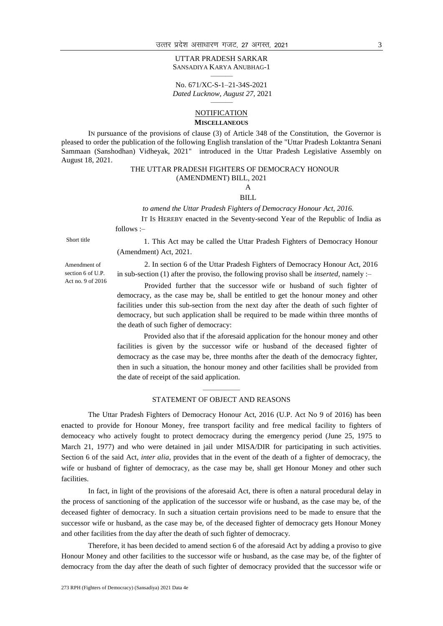#### UTTAR PRADESH SARKAR SANSADIYA KARYA ANUBHAG-1 ———

No. 671/XC-S-1–21-34S-2021 *Dated Lucknow, August 27*, 2021 ———

### **NOTIFICATION MISCELLANEOUS**

IN pursuance of the provisions of clause (3) of Article 348 of the Constitution, the Governor is pleased to order the publication of the following English translation of the "Uttar Pradesh Loktantra Senani Sammaan (Sanshodhan) Vidheyak, 2021" introduced in the Uttar Pradesh Legislative Assembly on August 18, 2021.

## THE UTTAR PRADESH FIGHTERS OF DEMOCRACY HONOUR (AMENDMENT) BILL, 2021

A BILL

#### *to amend the Uttar Pradesh Fighters of Democracy Honour Act, 2016.*

 IT IS HEREBY enacted in the Seventy-second Year of the Republic of India as follows :–

Short title 1. This Act may be called the Uttar Pradesh Fighters of Democracy Honour (Amendment) Act, 2021.

Amendment of section 6 of U.P. Act no. 9 of 2016

2. In section 6 of the Uttar Pradesh Fighters of Democracy Honour Act, 2016 in sub-section (1) after the proviso, the following proviso shall be *inserted,* namely :–

Provided further that the successor wife or husband of such fighter of democracy, as the case may be, shall be entitled to get the honour money and other facilities under this sub-section from the next day after the death of such fighter of democracy, but such application shall be required to be made within three months of the death of such figher of democracy:

Provided also that if the aforesaid application for the honour money and other facilities is given by the successor wife or husband of the deceased fighter of democracy as the case may be, three months after the death of the democracy fighter, then in such a situation, the honour money and other facilities shall be provided from the date of receipt of the said application.

#### $\overline{\phantom{a}}$ STATEMENT OF OBJECT AND REASONS

The Uttar Pradesh Fighters of Democracy Honour Act, 2016 (U.P. Act No 9 of 2016) has been enacted to provide for Honour Money, free transport facility and free medical facility to fighters of democeacy who actively fought to protect democracy during the emergency period (June 25, 1975 to March 21, 1977) and who were detained in jail under MISA/DIR for participating in such activities. Section 6 of the said Act, *inter alia*, provides that in the event of the death of a fighter of democracy, the wife or husband of fighter of democracy, as the case may be, shall get Honour Money and other such facilities.

In fact, in light of the provisions of the aforesaid Act, there is often a natural procedural delay in the process of sanctioning of the application of the successor wife or husband, as the case may be, of the deceased fighter of democracy. In such a situation certain provisions need to be made to ensure that the successor wife or husband, as the case may be, of the deceased fighter of democracy gets Honour Money and other facilities from the day after the death of such fighter of democracy.

Therefore, it has been decided to amend section 6 of the aforesaid Act by adding a proviso to give Honour Money and other facilities to the successor wife or husband, as the case may be, of the fighter of democracy from the day after the death of such fighter of democracy provided that the successor wife or